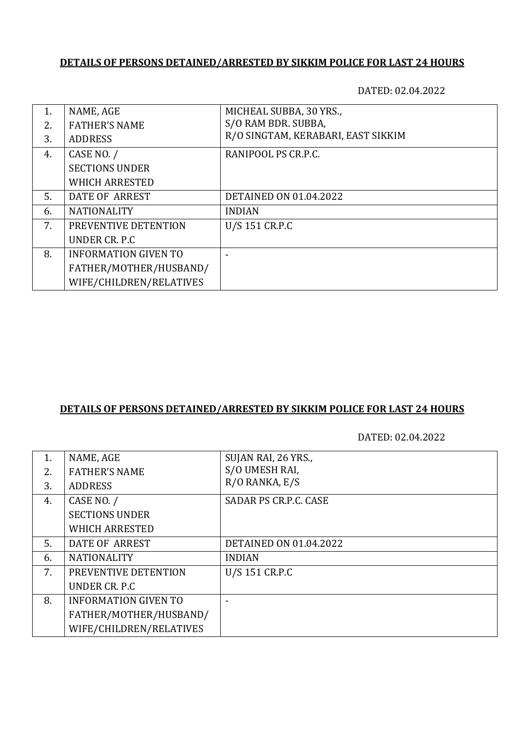### **DETAILS OF PERSONS DETAINED/ARRESTED BY SIKKIM POLICE FOR LAST 24 HOURS**

DATED: 02.04.2022

| 1. | NAME, AGE                   | MICHEAL SUBBA, 30 YRS.,            |
|----|-----------------------------|------------------------------------|
| 2. | <b>FATHER'S NAME</b>        | S/O RAM BDR. SUBBA,                |
| 3. | <b>ADDRESS</b>              | R/O SINGTAM, KERABARI, EAST SIKKIM |
| 4. | CASE NO. /                  | RANIPOOL PS CR.P.C.                |
|    | <b>SECTIONS UNDER</b>       |                                    |
|    | <b>WHICH ARRESTED</b>       |                                    |
| 5. | DATE OF ARREST              | <b>DETAINED ON 01.04.2022</b>      |
| 6. | <b>NATIONALITY</b>          | <b>INDIAN</b>                      |
| 7. | PREVENTIVE DETENTION        | U/S 151 CR.P.C                     |
|    | UNDER CR. P.C.              |                                    |
| 8. | <b>INFORMATION GIVEN TO</b> |                                    |
|    | FATHER/MOTHER/HUSBAND/      |                                    |
|    | WIFE/CHILDREN/RELATIVES     |                                    |

## **DETAILS OF PERSONS DETAINED/ARRESTED BY SIKKIM POLICE FOR LAST 24 HOURS**

DATED: 02.04.2022

| 1. | NAME, AGE                   | SUJAN RAI, 26 YRS.,           |
|----|-----------------------------|-------------------------------|
| 2. | <b>FATHER'S NAME</b>        | S/O UMESH RAI,                |
| 3. | <b>ADDRESS</b>              | R/O RANKA, E/S                |
| 4. | CASE NO. /                  | SADAR PS CR.P.C. CASE         |
|    | <b>SECTIONS UNDER</b>       |                               |
|    | <b>WHICH ARRESTED</b>       |                               |
| 5. | DATE OF ARREST              | <b>DETAINED ON 01.04.2022</b> |
| 6. | <b>NATIONALITY</b>          | <b>INDIAN</b>                 |
| 7. | PREVENTIVE DETENTION        | U/S 151 CR.P.C                |
|    | UNDER CR. P.C.              |                               |
| 8. | <b>INFORMATION GIVEN TO</b> |                               |
|    | FATHER/MOTHER/HUSBAND/      |                               |
|    | WIFE/CHILDREN/RELATIVES     |                               |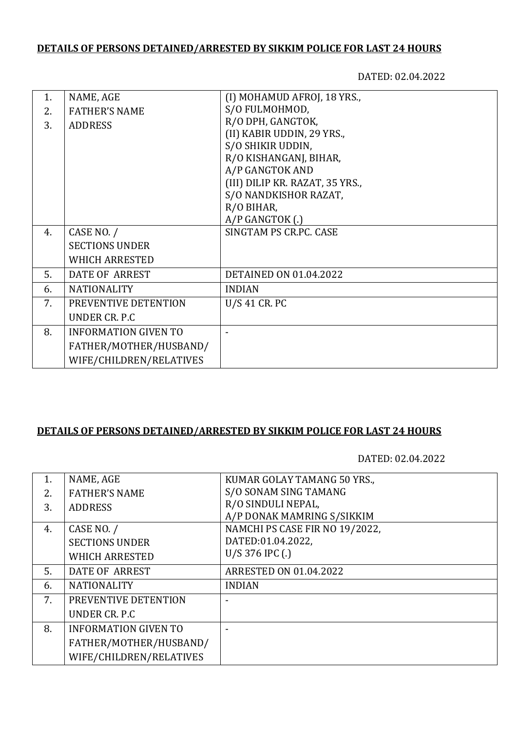# **DETAILS OF PERSONS DETAINED/ARRESTED BY SIKKIM POLICE FOR LAST 24 HOURS**

DATED: 02.04.2022

| 1. | NAME, AGE                   | (I) MOHAMUD AFROJ, 18 YRS.,     |
|----|-----------------------------|---------------------------------|
| 2. | <b>FATHER'S NAME</b>        | S/O FULMOHMOD,                  |
| 3. | <b>ADDRESS</b>              | R/O DPH, GANGTOK,               |
|    |                             | (II) KABIR UDDIN, 29 YRS.,      |
|    |                             | S/O SHIKIR UDDIN,               |
|    |                             | R/O KISHANGANJ, BIHAR,          |
|    |                             | A/P GANGTOK AND                 |
|    |                             | (III) DILIP KR. RAZAT, 35 YRS., |
|    |                             | S/O NANDKISHOR RAZAT,           |
|    |                             | R/O BIHAR,                      |
|    |                             | A/P GANGTOK (.)                 |
| 4. | CASE NO. /                  | SINGTAM PS CR.PC. CASE          |
|    | <b>SECTIONS UNDER</b>       |                                 |
|    | <b>WHICH ARRESTED</b>       |                                 |
| 5. | DATE OF ARREST              | <b>DETAINED ON 01.04.2022</b>   |
| 6. | <b>NATIONALITY</b>          | <b>INDIAN</b>                   |
| 7. | PREVENTIVE DETENTION        | U/S 41 CR. PC                   |
|    | UNDER CR. P.C.              |                                 |
| 8. | <b>INFORMATION GIVEN TO</b> |                                 |
|    | FATHER/MOTHER/HUSBAND/      |                                 |
|    | WIFE/CHILDREN/RELATIVES     |                                 |

### **DETAILS OF PERSONS DETAINED/ARRESTED BY SIKKIM POLICE FOR LAST 24 HOURS**

DATED: 02.04.2022

| 1. | NAME, AGE                   | KUMAR GOLAY TAMANG 50 YRS.,    |
|----|-----------------------------|--------------------------------|
| 2. | <b>FATHER'S NAME</b>        | S/O SONAM SING TAMANG          |
| 3. | <b>ADDRESS</b>              | R/O SINDULI NEPAL,             |
|    |                             | A/P DONAK MAMRING S/SIKKIM     |
| 4. | CASE NO. /                  | NAMCHI PS CASE FIR NO 19/2022, |
|    | <b>SECTIONS UNDER</b>       | DATED:01.04.2022,              |
|    | <b>WHICH ARRESTED</b>       | $U/S 376$ IPC (.)              |
| 5. | DATE OF ARREST              | <b>ARRESTED ON 01.04.2022</b>  |
| 6. | <b>NATIONALITY</b>          | <b>INDIAN</b>                  |
| 7. | PREVENTIVE DETENTION        |                                |
|    | UNDER CR. P.C.              |                                |
| 8. | <b>INFORMATION GIVEN TO</b> |                                |
|    | FATHER/MOTHER/HUSBAND/      |                                |
|    | WIFE/CHILDREN/RELATIVES     |                                |